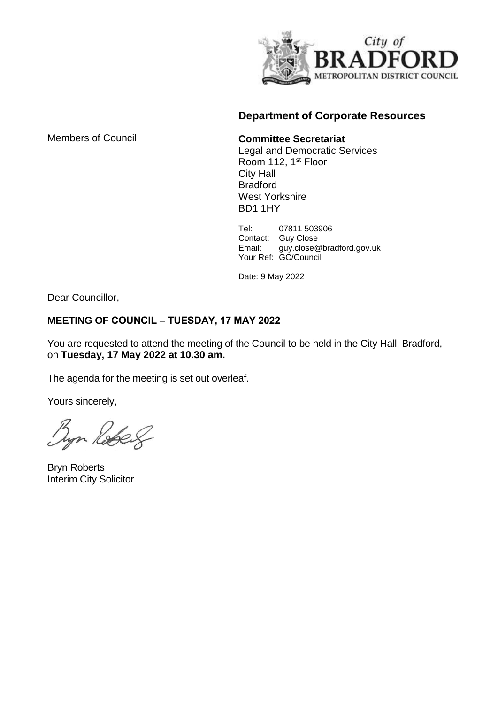

### **Department of Corporate Resources**

Members of Council

**Committee Secretariat**

Legal and Democratic Services Room 112, 1st Floor City Hall Bradford West Yorkshire BD1 1HY

Tel: 07811 503906 Contact: Guy Close Email: guy.close@bradford.gov.uk Your Ref: GC/Council

Date: 9 May 2022

Dear Councillor,

### **MEETING OF COUNCIL – TUESDAY, 17 MAY 2022**

You are requested to attend the meeting of the Council to be held in the City Hall, Bradford, on **Tuesday, 17 May 2022 at 10.30 am.**

The agenda for the meeting is set out overleaf.

Yours sincerely,

yn Robert

Bryn Roberts Interim City Solicitor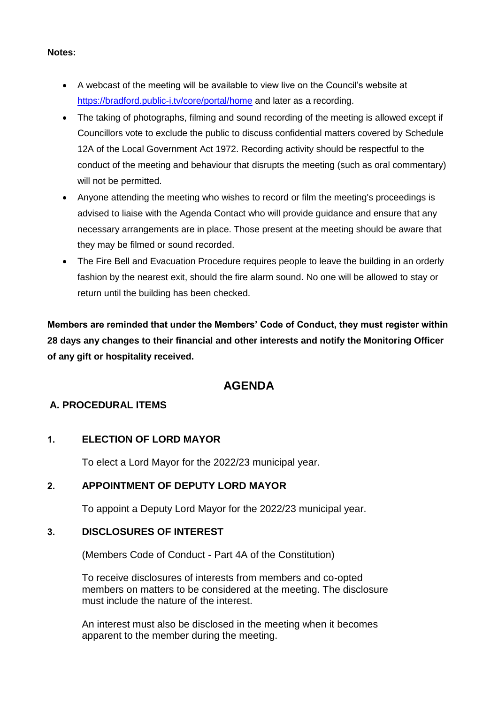- A webcast of the meeting will be available to view live on the Council's website at <https://bradford.public-i.tv/core/portal/home> and later as a recording.
	- The taking of photographs, filming and sound recording of the meeting is allowed except if Councillors vote to exclude the public to discuss confidential matters covered by Schedule 12A of the Local Government Act 1972. Recording activity should be respectful to the conduct of the meeting and behaviour that disrupts the meeting (such as oral commentary) will not be permitted.
	- Anyone attending the meeting who wishes to record or film the meeting's proceedings is advised to liaise with the Agenda Contact who will provide guidance and ensure that any necessary arrangements are in place. Those present at the meeting should be aware that they may be filmed or sound recorded.
	- The Fire Bell and Evacuation Procedure requires people to leave the building in an orderly fashion by the nearest exit, should the fire alarm sound. No one will be allowed to stay or return until the building has been checked.

**Members are reminded that under the Members' Code of Conduct, they must register within 28 days any changes to their financial and other interests and notify the Monitoring Officer of any gift or hospitality received.**

# **AGENDA**

## **A. PROCEDURAL ITEMS**

## **1. ELECTION OF LORD MAYOR**

To elect a Lord Mayor for the 2022/23 municipal year.

## **2. APPOINTMENT OF DEPUTY LORD MAYOR**

To appoint a Deputy Lord Mayor for the 2022/23 municipal year.

## **3. DISCLOSURES OF INTEREST**

(Members Code of Conduct - Part 4A of the Constitution)

To receive disclosures of interests from members and co-opted members on matters to be considered at the meeting. The disclosure must include the nature of the interest.

An interest must also be disclosed in the meeting when it becomes apparent to the member during the meeting.

#### **Notes:**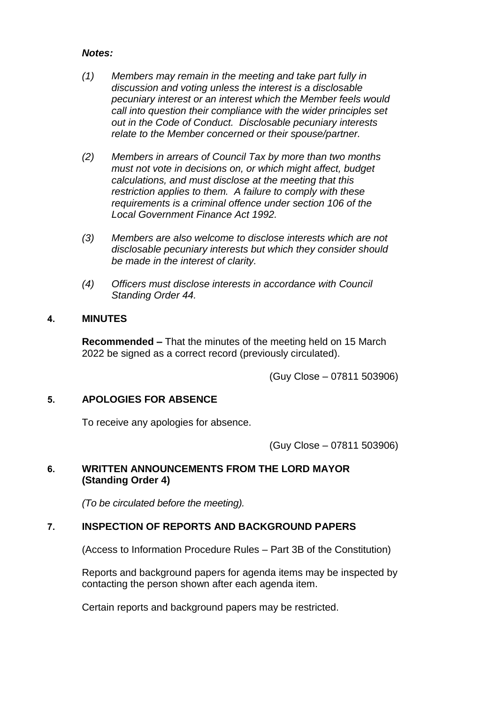#### *Notes:*

- *(1) Members may remain in the meeting and take part fully in discussion and voting unless the interest is a disclosable pecuniary interest or an interest which the Member feels would call into question their compliance with the wider principles set out in the Code of Conduct. Disclosable pecuniary interests relate to the Member concerned or their spouse/partner.*
- *(2) Members in arrears of Council Tax by more than two months must not vote in decisions on, or which might affect, budget calculations, and must disclose at the meeting that this restriction applies to them. A failure to comply with these requirements is a criminal offence under section 106 of the Local Government Finance Act 1992.*
- *(3) Members are also welcome to disclose interests which are not disclosable pecuniary interests but which they consider should be made in the interest of clarity.*
- *(4) Officers must disclose interests in accordance with Council Standing Order 44.*

#### **4. MINUTES**

**Recommended –** That the minutes of the meeting held on 15 March 2022 be signed as a correct record (previously circulated).

(Guy Close – 07811 503906)

#### **5. APOLOGIES FOR ABSENCE**

To receive any apologies for absence.

(Guy Close – 07811 503906)

#### **6. WRITTEN ANNOUNCEMENTS FROM THE LORD MAYOR (Standing Order 4)**

*(To be circulated before the meeting).*

#### **7. INSPECTION OF REPORTS AND BACKGROUND PAPERS**

(Access to Information Procedure Rules – Part 3B of the Constitution)

Reports and background papers for agenda items may be inspected by contacting the person shown after each agenda item.

Certain reports and background papers may be restricted.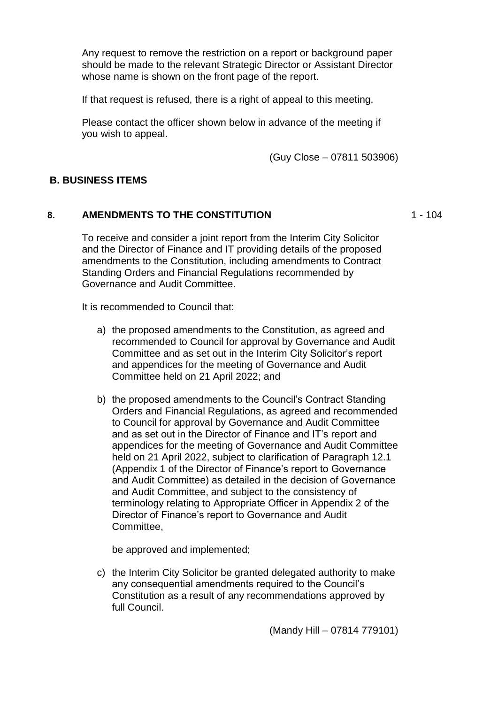Any request to remove the restriction on a report or background paper should be made to the relevant Strategic Director or Assistant Director whose name is shown on the front page of the report.

If that request is refused, there is a right of appeal to this meeting.

Please contact the officer shown below in advance of the meeting if you wish to appeal.

(Guy Close – 07811 503906)

#### **B. BUSINESS ITEMS**

#### **8. AMENDMENTS TO THE CONSTITUTION**

 $1 - 104$ 

To receive and consider a joint report from the Interim City Solicitor and the Director of Finance and IT providing details of the proposed amendments to the Constitution, including amendments to Contract Standing Orders and Financial Regulations recommended by Governance and Audit Committee.

It is recommended to Council that:

- a) the proposed amendments to the Constitution, as agreed and recommended to Council for approval by Governance and Audit Committee and as set out in the Interim City Solicitor's report and appendices for the meeting of Governance and Audit Committee held on 21 April 2022; and
- b) the proposed amendments to the Council's Contract Standing Orders and Financial Regulations, as agreed and recommended to Council for approval by Governance and Audit Committee and as set out in the Director of Finance and IT's report and appendices for the meeting of Governance and Audit Committee held on 21 April 2022, subject to clarification of Paragraph 12.1 (Appendix 1 of the Director of Finance's report to Governance and Audit Committee) as detailed in the decision of Governance and Audit Committee, and subject to the consistency of terminology relating to Appropriate Officer in Appendix 2 of the Director of Finance's report to Governance and Audit Committee,

be approved and implemented;

c) the Interim City Solicitor be granted delegated authority to make any consequential amendments required to the Council's Constitution as a result of any recommendations approved by full Council.

(Mandy Hill – 07814 779101)